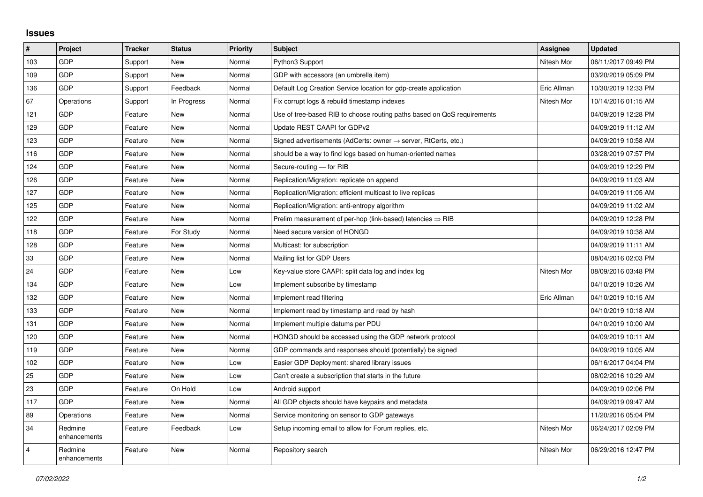## **Issues**

| #              | Project                 | <b>Tracker</b> | <b>Status</b> | <b>Priority</b> | <b>Subject</b>                                                             | <b>Assignee</b> | <b>Updated</b>      |
|----------------|-------------------------|----------------|---------------|-----------------|----------------------------------------------------------------------------|-----------------|---------------------|
| 103            | GDP                     | Support        | <b>New</b>    | Normal          | Python3 Support                                                            | Nitesh Mor      | 06/11/2017 09:49 PM |
| 109            | GDP                     | Support        | <b>New</b>    | Normal          | GDP with accessors (an umbrella item)                                      |                 | 03/20/2019 05:09 PM |
| 136            | <b>GDP</b>              | Support        | Feedback      | Normal          | Default Log Creation Service location for gdp-create application           | Eric Allman     | 10/30/2019 12:33 PM |
| 67             | Operations              | Support        | In Progress   | Normal          | Fix corrupt logs & rebuild timestamp indexes                               | Nitesh Mor      | 10/14/2016 01:15 AM |
| 121            | GDP                     | Feature        | <b>New</b>    | Normal          | Use of tree-based RIB to choose routing paths based on QoS requirements    |                 | 04/09/2019 12:28 PM |
| 129            | GDP                     | Feature        | New           | Normal          | Update REST CAAPI for GDPv2                                                |                 | 04/09/2019 11:12 AM |
| 123            | GDP                     | Feature        | <b>New</b>    | Normal          | Signed advertisements (AdCerts: owner $\rightarrow$ server, RtCerts, etc.) |                 | 04/09/2019 10:58 AM |
| 116            | GDP                     | Feature        | New           | Normal          | should be a way to find logs based on human-oriented names                 |                 | 03/28/2019 07:57 PM |
| 124            | GDP                     | Feature        | New           | Normal          | Secure-routing - for RIB                                                   |                 | 04/09/2019 12:29 PM |
| 126            | GDP                     | Feature        | <b>New</b>    | Normal          | Replication/Migration: replicate on append                                 |                 | 04/09/2019 11:03 AM |
| 127            | GDP                     | Feature        | <b>New</b>    | Normal          | Replication/Migration: efficient multicast to live replicas                |                 | 04/09/2019 11:05 AM |
| 125            | GDP                     | Feature        | New           | Normal          | Replication/Migration: anti-entropy algorithm                              |                 | 04/09/2019 11:02 AM |
| 122            | GDP                     | Feature        | <b>New</b>    | Normal          | Prelim measurement of per-hop (link-based) latencies $\Rightarrow$ RIB     |                 | 04/09/2019 12:28 PM |
| 118            | GDP                     | Feature        | For Study     | Normal          | Need secure version of HONGD                                               |                 | 04/09/2019 10:38 AM |
| 128            | GDP                     | Feature        | <b>New</b>    | Normal          | Multicast: for subscription                                                |                 | 04/09/2019 11:11 AM |
| 33             | GDP                     | Feature        | <b>New</b>    | Normal          | Mailing list for GDP Users                                                 |                 | 08/04/2016 02:03 PM |
| 24             | GDP                     | Feature        | <b>New</b>    | Low             | Key-value store CAAPI: split data log and index log                        | Nitesh Mor      | 08/09/2016 03:48 PM |
| 134            | GDP                     | Feature        | New           | Low             | Implement subscribe by timestamp                                           |                 | 04/10/2019 10:26 AM |
| 132            | GDP                     | Feature        | <b>New</b>    | Normal          | Implement read filtering                                                   | Eric Allman     | 04/10/2019 10:15 AM |
| 133            | GDP                     | Feature        | New           | Normal          | Implement read by timestamp and read by hash                               |                 | 04/10/2019 10:18 AM |
| 131            | GDP                     | Feature        | New           | Normal          | Implement multiple datums per PDU                                          |                 | 04/10/2019 10:00 AM |
| 120            | GDP                     | Feature        | <b>New</b>    | Normal          | HONGD should be accessed using the GDP network protocol                    |                 | 04/09/2019 10:11 AM |
| 119            | GDP                     | Feature        | <b>New</b>    | Normal          | GDP commands and responses should (potentially) be signed                  |                 | 04/09/2019 10:05 AM |
| 102            | GDP                     | Feature        | New           | Low             | Easier GDP Deployment: shared library issues                               |                 | 06/16/2017 04:04 PM |
| 25             | GDP                     | Feature        | <b>New</b>    | Low             | Can't create a subscription that starts in the future                      |                 | 08/02/2016 10:29 AM |
| 23             | GDP                     | Feature        | On Hold       | Low             | Android support                                                            |                 | 04/09/2019 02:06 PM |
| 117            | GDP                     | Feature        | New           | Normal          | All GDP objects should have keypairs and metadata                          |                 | 04/09/2019 09:47 AM |
| 89             | Operations              | Feature        | <b>New</b>    | Normal          | Service monitoring on sensor to GDP gateways                               |                 | 11/20/2016 05:04 PM |
| 34             | Redmine<br>enhancements | Feature        | Feedback      | Low             | Setup incoming email to allow for Forum replies, etc.                      | Nitesh Mor      | 06/24/2017 02:09 PM |
| $\overline{4}$ | Redmine<br>enhancements | Feature        | <b>New</b>    | Normal          | Repository search                                                          | Nitesh Mor      | 06/29/2016 12:47 PM |